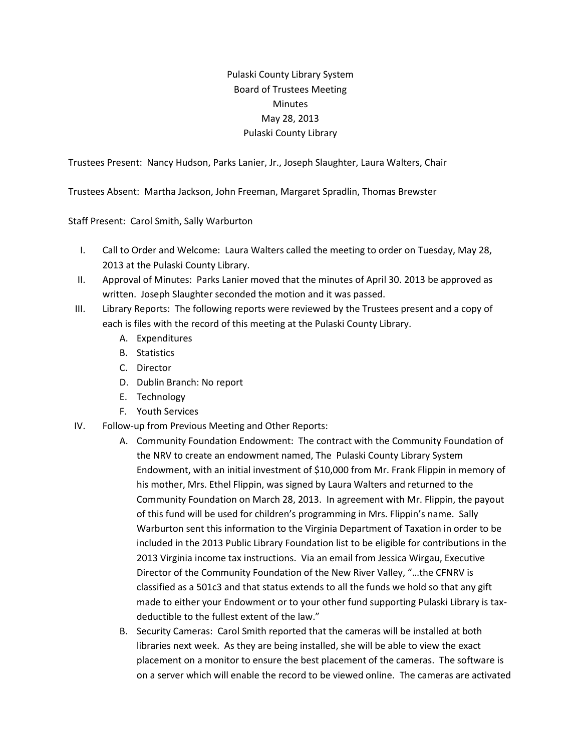## Pulaski County Library System Board of Trustees Meeting **Minutes** May 28, 2013 Pulaski County Library

Trustees Present: Nancy Hudson, Parks Lanier, Jr., Joseph Slaughter, Laura Walters, Chair

Trustees Absent: Martha Jackson, John Freeman, Margaret Spradlin, Thomas Brewster

Staff Present: Carol Smith, Sally Warburton

- I. Call to Order and Welcome: Laura Walters called the meeting to order on Tuesday, May 28, 2013 at the Pulaski County Library.
- II. Approval of Minutes: Parks Lanier moved that the minutes of April 30. 2013 be approved as written. Joseph Slaughter seconded the motion and it was passed.
- III. Library Reports: The following reports were reviewed by the Trustees present and a copy of each is files with the record of this meeting at the Pulaski County Library.
	- A. Expenditures
	- B. Statistics
	- C. Director
	- D. Dublin Branch: No report
	- E. Technology
	- F. Youth Services
- IV. Follow-up from Previous Meeting and Other Reports:
	- A. Community Foundation Endowment: The contract with the Community Foundation of the NRV to create an endowment named, The Pulaski County Library System Endowment, with an initial investment of \$10,000 from Mr. Frank Flippin in memory of his mother, Mrs. Ethel Flippin, was signed by Laura Walters and returned to the Community Foundation on March 28, 2013. In agreement with Mr. Flippin, the payout of this fund will be used for children's programming in Mrs. Flippin's name. Sally Warburton sent this information to the Virginia Department of Taxation in order to be included in the 2013 Public Library Foundation list to be eligible for contributions in the 2013 Virginia income tax instructions. Via an email from Jessica Wirgau, Executive Director of the Community Foundation of the New River Valley, "…the CFNRV is classified as a 501c3 and that status extends to all the funds we hold so that any gift made to either your Endowment or to your other fund supporting Pulaski Library is taxdeductible to the fullest extent of the law."
	- B. Security Cameras: Carol Smith reported that the cameras will be installed at both libraries next week. As they are being installed, she will be able to view the exact placement on a monitor to ensure the best placement of the cameras. The software is on a server which will enable the record to be viewed online. The cameras are activated